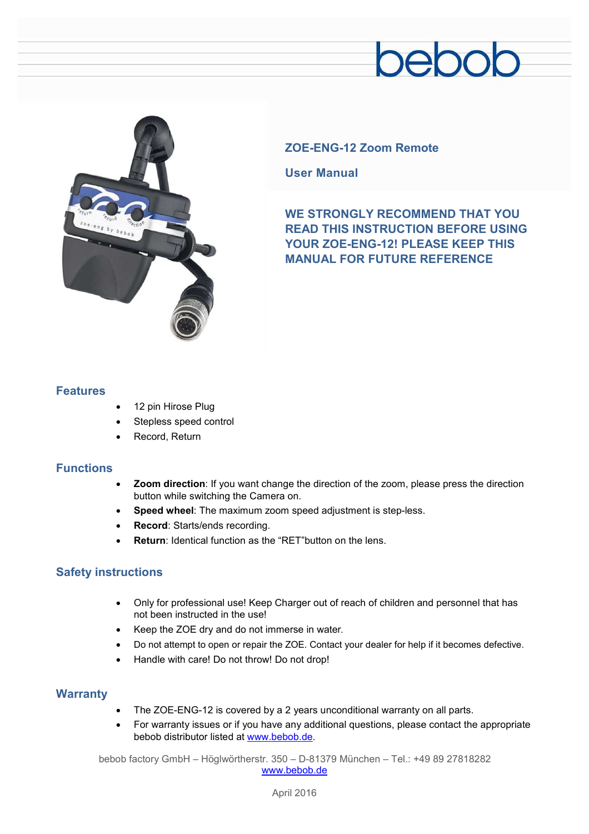## pebob



#### **ZOE-ENG-12 Zoom Remote**

**User Manual** 

**WE STRONGLY RECOMMEND THAT YOU READ THIS INSTRUCTION BEFORE USING YOUR ZOE-ENG-12! PLEASE KEEP THIS MANUAL FOR FUTURE REFERENCE** 

#### **Features**

- 12 pin Hirose Plug
- Stepless speed control
- Record, Return

#### **Functions**

- · **Zoom direction**: If you want change the direction of the zoom, please press the direction button while switching the Camera on.
- · **Speed wheel**: The maximum zoom speed adjustment is step-less.
- **Record: Starts/ends recording.**
- **Return:** Identical function as the "RET" button on the lens.

#### **Safety instructions**

- · Only for professional use! Keep Charger out of reach of children and personnel that has not been instructed in the use!
- · Keep the ZOE dry and do not immerse in water.
- · Do not attempt to open or repair the ZOE. Contact your dealer for help if it becomes defective.
- Handle with care! Do not throw! Do not drop!

#### **Warranty**

- The ZOE-ENG-12 is covered by a 2 years unconditional warranty on all parts.
- · For warranty issues or if you have any additional questions, please contact the appropriate bebob distributor listed at [www.bebob.de.](http://www.bebob.de)

bebob factory GmbH – Höglwörtherstr. 350 – D-81379 München – Tel.: +49 89 27818282 [www.bebob.de](http://www.bebob.de)